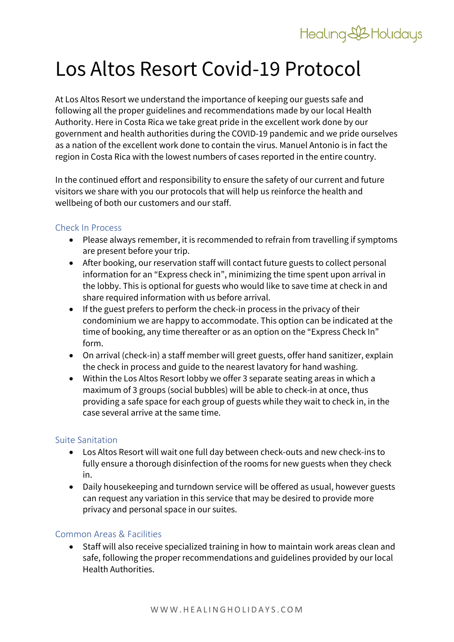# Healing&Holidays

# Los Altos Resort Covid-19 Protocol

At Los Altos Resort we understand the importance of keeping our guests safe and following all the proper guidelines and recommendations made by our local Health Authority. Here in Costa Rica we take great pride in the excellent work done by our government and health authorities during the COVID-19 pandemic and we pride ourselves as a nation of the excellent work done to contain the virus. Manuel Antonio is in fact the region in Costa Rica with the lowest numbers of cases reported in the entire country.

In the continued effort and responsibility to ensure the safety of our current and future visitors we share with you our protocols that will help us reinforce the health and wellbeing of both our customers and our staff.

# Check In Process

- Please always remember, it is recommended to refrain from travelling if symptoms are present before your trip.
- After booking, our reservation staff will contact future guests to collect personal information for an "Express check in", minimizing the time spent upon arrival in the lobby. This is optional for guests who would like to save time at check in and share required information with us before arrival.
- If the guest prefers to perform the check-in process in the privacy of their condominium we are happy to accommodate. This option can be indicated at the time of booking, any time thereafter or as an option on the "Express Check In" form.
- On arrival (check-in) a staff member will greet guests, offer hand sanitizer, explain the check in process and guide to the nearest lavatory for hand washing.
- Within the Los Altos Resort lobby we offer 3 separate seating areas in which a maximum of 3 groups (social bubbles) will be able to check-in at once, thus providing a safe space for each group of guests while they wait to check in, in the case several arrive at the same time.

### Suite Sanitation

- Los Altos Resort will wait one full day between check-outs and new check-ins to fully ensure a thorough disinfection of the rooms for new guests when they check in.
- Daily housekeeping and turndown service will be offered as usual, however guests can request any variation in this service that may be desired to provide more privacy and personal space in our suites.

### Common Areas & Facilities

• Staff will also receive specialized training in how to maintain work areas clean and safe, following the proper recommendations and guidelines provided by our local Health Authorities.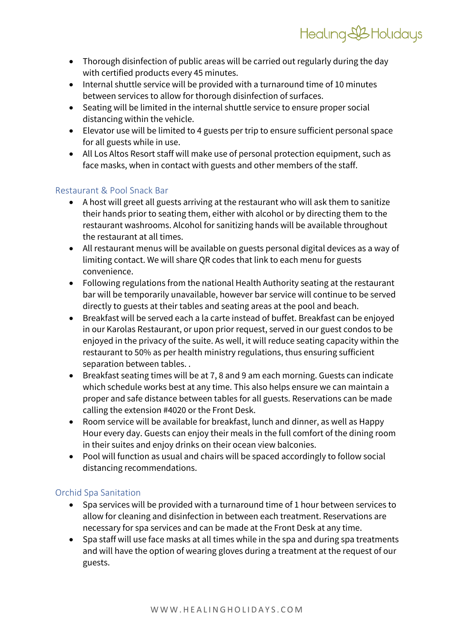- Thorough disinfection of public areas will be carried out regularly during the day with certified products every 45 minutes.
- Internal shuttle service will be provided with a turnaround time of 10 minutes between services to allow for thorough disinfection of surfaces.
- Seating will be limited in the internal shuttle service to ensure proper social distancing within the vehicle.
- Elevator use will be limited to 4 guests per trip to ensure sufficient personal space for all guests while in use.
- All Los Altos Resort staff will make use of personal protection equipment, such as face masks, when in contact with guests and other members of the staff.

# Restaurant & Pool Snack Bar

- A host will greet all guests arriving at the restaurant who will ask them to sanitize their hands prior to seating them, either with alcohol or by directing them to the restaurant washrooms. Alcohol for sanitizing hands will be available throughout the restaurant at all times.
- All restaurant menus will be available on guests personal digital devices as a way of limiting contact. We will share QR codes that link to each menu for guests convenience.
- Following regulations from the national Health Authority seating at the restaurant bar will be temporarily unavailable, however bar service will continue to be served directly to guests at their tables and seating areas at the pool and beach.
- Breakfast will be served each a la carte instead of buffet. Breakfast can be enjoyed in our Karolas Restaurant, or upon prior request, served in our guest condos to be enjoyed in the privacy of the suite. As well, it will reduce seating capacity within the restaurant to 50% as per health ministry regulations, thus ensuring sufficient separation between tables. .
- Breakfast seating times will be at 7, 8 and 9 am each morning. Guests can indicate which schedule works best at any time. This also helps ensure we can maintain a proper and safe distance between tables for all guests. Reservations can be made calling the extension #4020 or the Front Desk.
- Room service will be available for breakfast, lunch and dinner, as well as Happy Hour every day. Guests can enjoy their meals in the full comfort of the dining room in their suites and enjoy drinks on their ocean view balconies.
- Pool will function as usual and chairs will be spaced accordingly to follow social distancing recommendations.

# Orchid Spa Sanitation

- Spa services will be provided with a turnaround time of 1 hour between services to allow for cleaning and disinfection in between each treatment. Reservations are necessary for spa services and can be made at the Front Desk at any time.
- Spa staff will use face masks at all times while in the spa and during spa treatments and will have the option of wearing gloves during a treatment at the request of our guests.